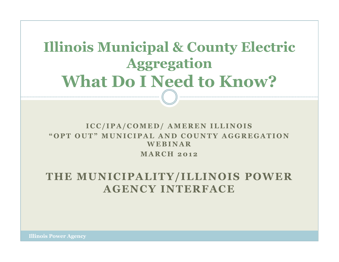## Illinois Municipal & County Electric AggregationWhat Do I Need to Know?

### ICC/IPA/COMED/ AMEREN ILLINOIS " OPT OUT" MUNICIPAL AND COUNTY AGGREGATION **WEBINAR MARCH 2012**

### THE MUNICIPALITY/ILLINOIS POWER AGENCY INTERFACE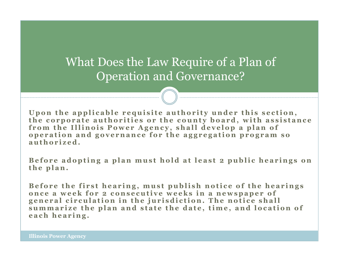### What Does the Law Require of a Plan of Operation and Governance?

Upon the applicable requisite authority under this section, the corporate authorities or the county board, with assistance from the Illinois Power Agency, shall develop a plan of operation and governance for the aggregation program so authorized.

Before adopting a plan must hold at least 2 public hearings on the plan.

Before the first hearing, must publish notice of the hearings once a week for 2 consecutive weeks in a newspaper of general circulation in the jurisdiction. The notice shall summarize the plan and state the date, time, and location of each hearing.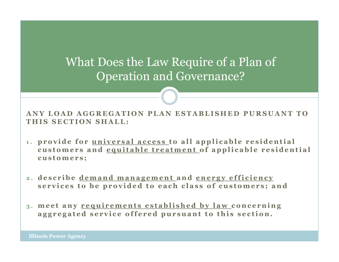## What Does the Law Require of a Plan of Operation and Governance?

ANY LOAD AGGREGATION PLAN ESTABLISHED PURSUANT TO THIS SECTION SHALL:

- 1. provide for universal access to all applicable residential customers and equitable treatment of applicable residential customers;
- 2. describe demand management and energy efficiency services to be provided to each class of customers; and
- 3. meet any requirements established by law concerning aggregated service offered pursuant to this section.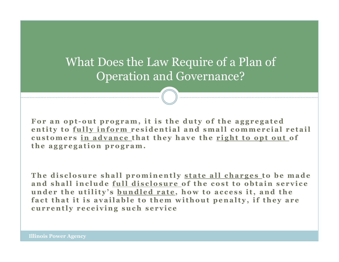## What Does the Law Require of a Plan of Operation and Governance?

For an opt-out program, it is the duty of the aggregated entity to fully inform residential and small commercial retail customers in advance that they have the right to opt out of the aggregation program.

The disclosure shall prominently state all charges to be made and shall include full disclosure of the cost to obtain service under the utility's **bundled rate**, how to access it, and the fact that it is available to them without penalty, if they are currently receiving such service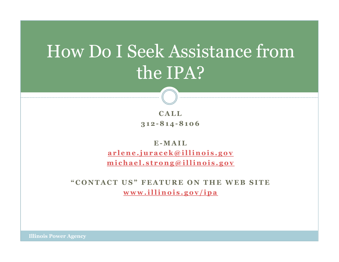# How Do I Seek Assistance from the IPA?

 $$ <sup>3</sup> <sup>1</sup> <sup>2</sup> - <sup>8</sup> <sup>1</sup> <sup>4</sup> - <sup>8</sup> <sup>1</sup> <sup>0</sup> <sup>6</sup>

E-MAIL arlene.juracek@illinois.gov michael.strong@illinois.gov

"CONTACT US" FEATURE ON THE WEB SITE www.illinois.gov/ipa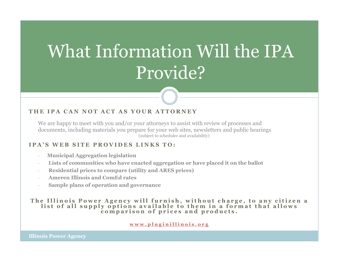# What Information Will the IPA Provide?

#### THE IPA CAN NOT ACT AS YOUR ATTORNEY

We are happy to meet with you and/or your attorneys to assist with review of processes and documents, including materials you prepare for your web sites, newsletters and public hearings(subject to schedules and availability)

#### IPA'S WER SITE PROVIDES LINKS TO:

- Municipal Aggregation legislation
- Lists of communities who have enacted aggregation or have placed it on the ballot
- Residential prices to compare (utility and ARES prices)
- Ameren Illinois and ComEd rates
- Sample plans of operation and governance

# The Illinois Power Agency will furnish, without charge, to any citizen a<br>list of all supply options available to them in a format that allows<br>comparison of prices and products.

#### www.pluginillinois.org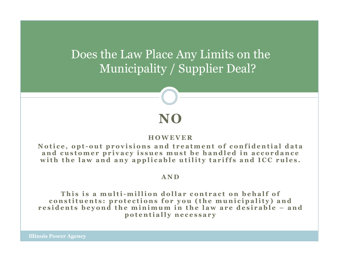Does the Law Place Any Limits on theMunicipality / Supplier Deal?

### **HOWEVER**

NO

Notice, opt-out provisions and treatment of confidential data and customer privacy issues must be handled in accordance with the law and any applicable utility tariffs and ICC rules.

#### <sup>A</sup> <sup>N</sup> <sup>D</sup>

This is a multi-million dollar contract on behalf of<br>istituents: protections for you (the municipality) an constituents: protections for you (the municipality) and<br>sidents bevond the minimum in the law are desirable – an residents beyond the minimum in the law are desirable – and p o t e n t i all y n e c essar y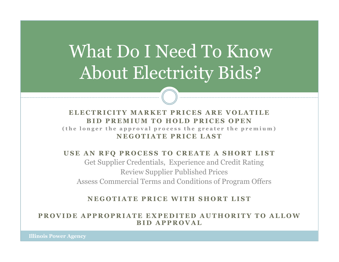# What Do I Need To Know About Electricity Bids?

#### ELECTRICITY MARKET PRICES ARE VOLATILE<br>BID PREMIUM TO HOLD PRICES OPEN BID PREMIUM TO HOLD PRICES OPEN<br>nger the annroyal process the greater the prem (the longer the approval process the greater the premium)<br>NECOTIATE PRIOR LAGE NEGOTIATE PRICE LAST

#### USE AN RFO PROCESS TO CREATE A SHORT LIST

Get Supplier Credentials, Experience and Credit Rating Review Supplier Published PricesAssess Commercial Terms and Conditions of Program Offers

NEGOTIATE PRICE WITH SHORT LIST

PROVIDE APPROPRIATE EXPEDITED AUTHORITY TO ALLOW **BID APPROVAL**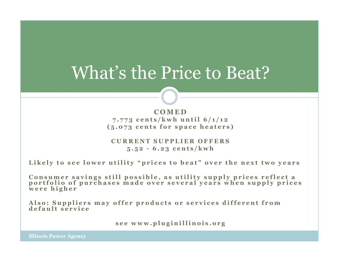## What's the Price to Beat?

COMED<br>s/kwh\_u 7.773 cents/kwh until 6/1/12<br>5 072 cents for space heaters  $(5.073$  cents for space heaters)

CURRENT SUPPLIER OFFERS  $5.52 - 6.23$  cents/kwh

Likely to see lower utility "prices to beat" over the next two years

Consumer savings still possible, as utility supply prices reflect a<br>portfolio of purchases made over several years when supply prices<br>were higher

Also: Suppliers may offer products or services different from<br>default service

see www.pluginillinois.org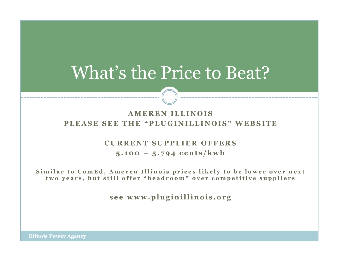## What's the Price to Beat?

### A MEREN ILLINOIS PLEASE SEE THE "PLUGINILLINOIS" WEBSITE

### CURRENT SUPPLIER OFFERS  $5.100 - 5.794$  cents/kwh

Similar to ComEd, Ameren Illinois prices likely to be lower over next two years, but still offer "headroom" over competitive suppliers

see www.pluginillinois.org